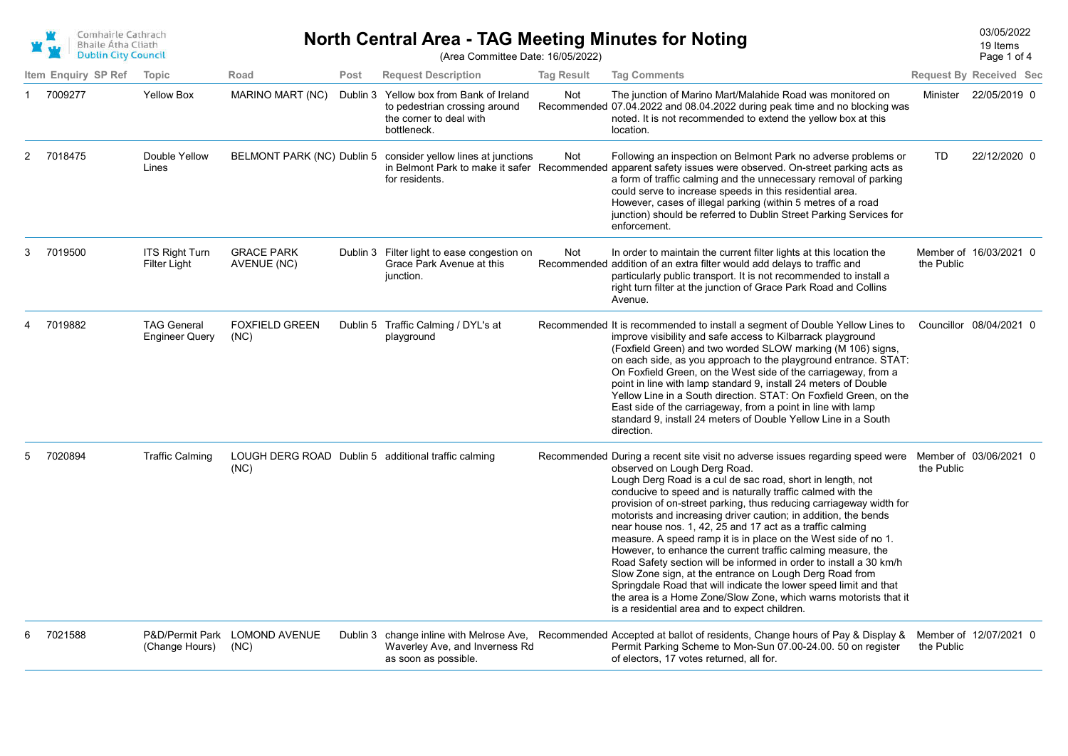| Comhairle Cathrach         |
|----------------------------|
| <b>Bhaile Atha Cliath</b>  |
| <b>Dublin City Council</b> |

## **North Central Area - TAG Meeting Minutes for Noting** Manus 2022 222 19 ltems 203/05/2022

19 Items

(Area Committee Date: 16/05/2022)

|   | <b>Dublin City Council</b> |                                             |                                       |          | (Area Committee Date: 16/05/2022)                                                                          |                   |                                                                                                                                                                                                                                                                                                                                                                                                                                                                                                                                                                                                                                                                                                                                                                                                                                                                                                                |            | Page 1 of 4                    |
|---|----------------------------|---------------------------------------------|---------------------------------------|----------|------------------------------------------------------------------------------------------------------------|-------------------|----------------------------------------------------------------------------------------------------------------------------------------------------------------------------------------------------------------------------------------------------------------------------------------------------------------------------------------------------------------------------------------------------------------------------------------------------------------------------------------------------------------------------------------------------------------------------------------------------------------------------------------------------------------------------------------------------------------------------------------------------------------------------------------------------------------------------------------------------------------------------------------------------------------|------------|--------------------------------|
|   | Item Enquiry SP Ref        | Topic                                       | Road                                  | Post     | <b>Request Description</b>                                                                                 | <b>Tag Result</b> | <b>Tag Comments</b>                                                                                                                                                                                                                                                                                                                                                                                                                                                                                                                                                                                                                                                                                                                                                                                                                                                                                            |            | <b>Request By Received Sec</b> |
|   | 7009277                    | <b>Yellow Box</b>                           | MARINO MART (NC)                      | Dublin 3 | Yellow box from Bank of Ireland<br>to pedestrian crossing around<br>the corner to deal with<br>bottleneck. | Not               | The junction of Marino Mart/Malahide Road was monitored on<br>Recommended 07.04.2022 and 08.04.2022 during peak time and no blocking was<br>noted. It is not recommended to extend the yellow box at this<br>location.                                                                                                                                                                                                                                                                                                                                                                                                                                                                                                                                                                                                                                                                                         |            | Minister 22/05/2019 0          |
| 2 | 7018475                    | Double Yellow<br>Lines                      | BELMONT PARK (NC) Dublin 5            |          | consider yellow lines at junctions<br>for residents.                                                       | Not               | Following an inspection on Belmont Park no adverse problems or<br>in Belmont Park to make it safer Recommended apparent safety issues were observed. On-street parking acts as<br>a form of traffic calming and the unnecessary removal of parking<br>could serve to increase speeds in this residential area.<br>However, cases of illegal parking (within 5 metres of a road<br>junction) should be referred to Dublin Street Parking Services for<br>enforcement.                                                                                                                                                                                                                                                                                                                                                                                                                                           | <b>TD</b>  | 22/12/2020 0                   |
|   | 7019500                    | <b>ITS Right Turn</b><br>Filter Light       | <b>GRACE PARK</b><br>AVENUE (NC)      |          | Dublin 3 Filter light to ease congestion on<br>Grace Park Avenue at this<br>junction.                      | Not               | In order to maintain the current filter lights at this location the<br>Recommended addition of an extra filter would add delays to traffic and<br>particularly public transport. It is not recommended to install a<br>right turn filter at the junction of Grace Park Road and Collins<br>Avenue.                                                                                                                                                                                                                                                                                                                                                                                                                                                                                                                                                                                                             | the Public | Member of 16/03/2021 0         |
|   | 7019882                    | <b>TAG General</b><br><b>Engineer Query</b> | <b>FOXFIELD GREEN</b><br>(NC)         |          | Dublin 5 Traffic Calming / DYL's at<br>playground                                                          |                   | Recommended It is recommended to install a segment of Double Yellow Lines to<br>improve visibility and safe access to Kilbarrack playground<br>(Foxfield Green) and two worded SLOW marking (M 106) signs,<br>on each side, as you approach to the playground entrance. STAT:<br>On Foxfield Green, on the West side of the carriageway, from a<br>point in line with lamp standard 9, install 24 meters of Double<br>Yellow Line in a South direction. STAT: On Foxfield Green, on the<br>East side of the carriageway, from a point in line with lamp<br>standard 9, install 24 meters of Double Yellow Line in a South<br>direction.                                                                                                                                                                                                                                                                        |            | Councillor 08/04/2021 0        |
| 5 | 7020894                    | <b>Traffic Calming</b>                      | (NC)                                  |          | LOUGH DERG ROAD Dublin 5 additional traffic calming                                                        |                   | Recommended During a recent site visit no adverse issues regarding speed were<br>observed on Lough Derg Road.<br>Lough Derg Road is a cul de sac road, short in length, not<br>conducive to speed and is naturally traffic calmed with the<br>provision of on-street parking, thus reducing carriageway width for<br>motorists and increasing driver caution; in addition, the bends<br>near house nos. 1, 42, 25 and 17 act as a traffic calming<br>measure. A speed ramp it is in place on the West side of no 1.<br>However, to enhance the current traffic calming measure, the<br>Road Safety section will be informed in order to install a 30 km/h<br>Slow Zone sign, at the entrance on Lough Derg Road from<br>Springdale Road that will indicate the lower speed limit and that<br>the area is a Home Zone/Slow Zone, which warns motorists that it<br>is a residential area and to expect children. | the Public | Member of 03/06/2021 0         |
|   | 7021588                    | (Change Hours)                              | P&D/Permit Park LOMOND AVENUE<br>(NC) |          | Waverley Ave, and Inverness Rd<br>as soon as possible.                                                     |                   | Dublin 3 change inline with Melrose Ave, Recommended Accepted at ballot of residents, Change hours of Pay & Display &<br>Permit Parking Scheme to Mon-Sun 07.00-24.00. 50 on register<br>of electors. 17 votes returned, all for.                                                                                                                                                                                                                                                                                                                                                                                                                                                                                                                                                                                                                                                                              | the Public | Member of 12/07/2021 0         |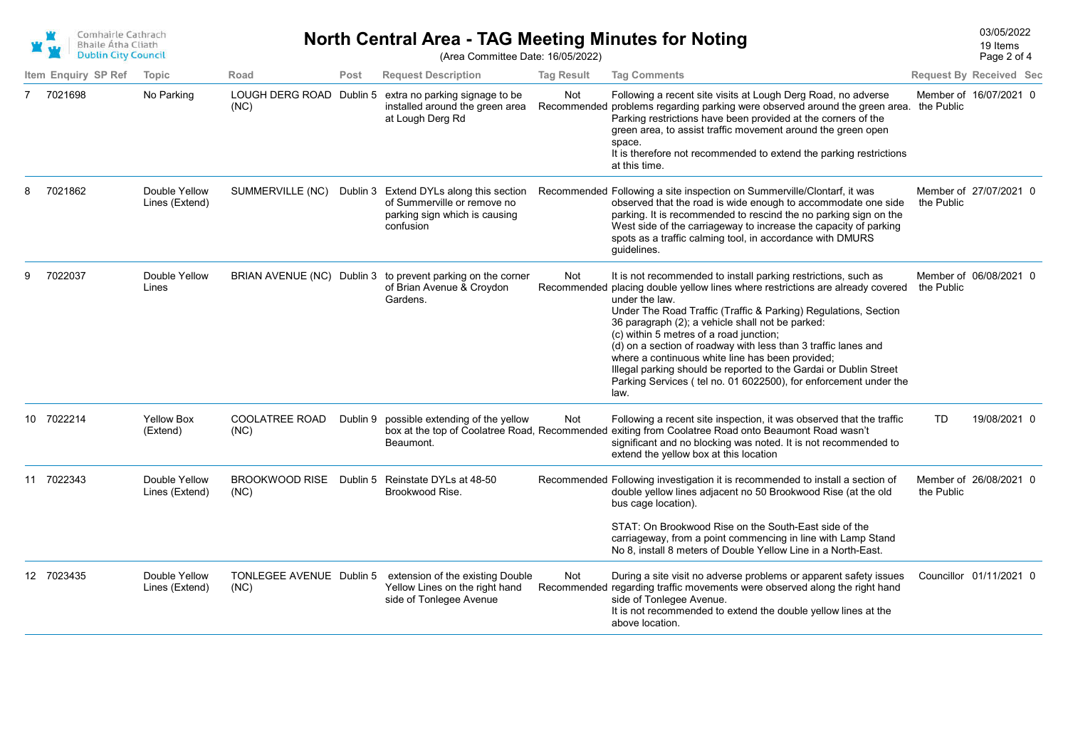| Comhairle Cathrach         |
|----------------------------|
| Bhaile Átha Cliath         |
| <b>Dublin City Council</b> |

## 03/05/2022 **North Central Area - TAG Meeting Minutes for Noting**

Page 2 of 4 19 Items

|   | <b>DUDLIN CIty Council</b> |                                 |                                  |          | (Area Committee Date: 16/05/2022)                                                                                      |                   |                                                                                                                                                                                                                                                                                                                                                                                                                                                                                                                                                                                                             |            | Page 2 of 4                    |
|---|----------------------------|---------------------------------|----------------------------------|----------|------------------------------------------------------------------------------------------------------------------------|-------------------|-------------------------------------------------------------------------------------------------------------------------------------------------------------------------------------------------------------------------------------------------------------------------------------------------------------------------------------------------------------------------------------------------------------------------------------------------------------------------------------------------------------------------------------------------------------------------------------------------------------|------------|--------------------------------|
|   | Item Enguiry SP Ref        | Topic                           | Road                             | Post     | <b>Request Description</b>                                                                                             | <b>Tag Result</b> | <b>Tag Comments</b>                                                                                                                                                                                                                                                                                                                                                                                                                                                                                                                                                                                         |            | <b>Request By Received Sec</b> |
|   | 7 7021698                  | No Parking                      | LOUGH DERG ROAD Dublin 5<br>(NC) |          | extra no parking signage to be<br>installed around the green area<br>at Lough Derg Rd                                  | Not               | Following a recent site visits at Lough Derg Road, no adverse<br>Recommended problems regarding parking were observed around the green area. the Public<br>Parking restrictions have been provided at the corners of the<br>green area, to assist traffic movement around the green open<br>space.<br>It is therefore not recommended to extend the parking restrictions<br>at this time.                                                                                                                                                                                                                   |            | Member of 16/07/2021 0         |
|   | 7021862                    | Double Yellow<br>Lines (Extend) | SUMMERVILLE (NC)                 |          | Dublin 3 Extend DYLs along this section<br>of Summerville or remove no<br>parking sign which is causing<br>confusion   |                   | Recommended Following a site inspection on Summerville/Clontarf, it was<br>observed that the road is wide enough to accommodate one side<br>parking. It is recommended to rescind the no parking sign on the<br>West side of the carriageway to increase the capacity of parking<br>spots as a traffic calming tool, in accordance with DMURS<br>guidelines.                                                                                                                                                                                                                                                | the Public | Member of 27/07/2021 0         |
| 9 | 7022037                    | Double Yellow<br>Lines          |                                  |          | BRIAN AVENUE (NC) Dublin 3 to prevent parking on the corner<br>of Brian Avenue & Croydon<br>Gardens.                   | Not               | It is not recommended to install parking restrictions, such as<br>Recommended placing double yellow lines where restrictions are already covered<br>under the law.<br>Under The Road Traffic (Traffic & Parking) Regulations, Section<br>36 paragraph (2); a vehicle shall not be parked:<br>(c) within 5 metres of a road junction;<br>(d) on a section of roadway with less than 3 traffic lanes and<br>where a continuous white line has been provided;<br>Illegal parking should be reported to the Gardai or Dublin Street<br>Parking Services (tel no. 01 6022500), for enforcement under the<br>law. | the Public | Member of 06/08/2021 0         |
|   | 10 7022214                 | <b>Yellow Box</b><br>(Extend)   | <b>COOLATREE ROAD</b><br>(NC)    | Dublin 9 | possible extending of the yellow<br>Beaumont.                                                                          | Not               | Following a recent site inspection, it was observed that the traffic<br>box at the top of Coolatree Road, Recommended exiting from Coolatree Road onto Beaumont Road wasn't<br>significant and no blocking was noted. It is not recommended to<br>extend the yellow box at this location                                                                                                                                                                                                                                                                                                                    | TD         | 19/08/2021 0                   |
|   | 11 7022343                 | Double Yellow<br>Lines (Extend) | <b>BROOKWOOD RISE</b><br>(NC)    |          | Dublin 5 Reinstate DYLs at 48-50<br>Brookwood Rise.                                                                    |                   | Recommended Following investigation it is recommended to install a section of<br>double yellow lines adjacent no 50 Brookwood Rise (at the old<br>bus cage location).<br>STAT: On Brookwood Rise on the South-East side of the                                                                                                                                                                                                                                                                                                                                                                              | the Public | Member of 26/08/2021 0         |
|   |                            |                                 |                                  |          |                                                                                                                        |                   | carriageway, from a point commencing in line with Lamp Stand<br>No 8, install 8 meters of Double Yellow Line in a North-East.                                                                                                                                                                                                                                                                                                                                                                                                                                                                               |            |                                |
|   | 12 7023435                 | Double Yellow<br>Lines (Extend) | (NC)                             |          | TONLEGEE AVENUE Dublin 5 extension of the existing Double<br>Yellow Lines on the right hand<br>side of Tonlegee Avenue | Not               | During a site visit no adverse problems or apparent safety issues<br>Recommended regarding traffic movements were observed along the right hand<br>side of Tonlegee Avenue.<br>It is not recommended to extend the double yellow lines at the<br>above location.                                                                                                                                                                                                                                                                                                                                            |            | Councillor 01/11/2021 0        |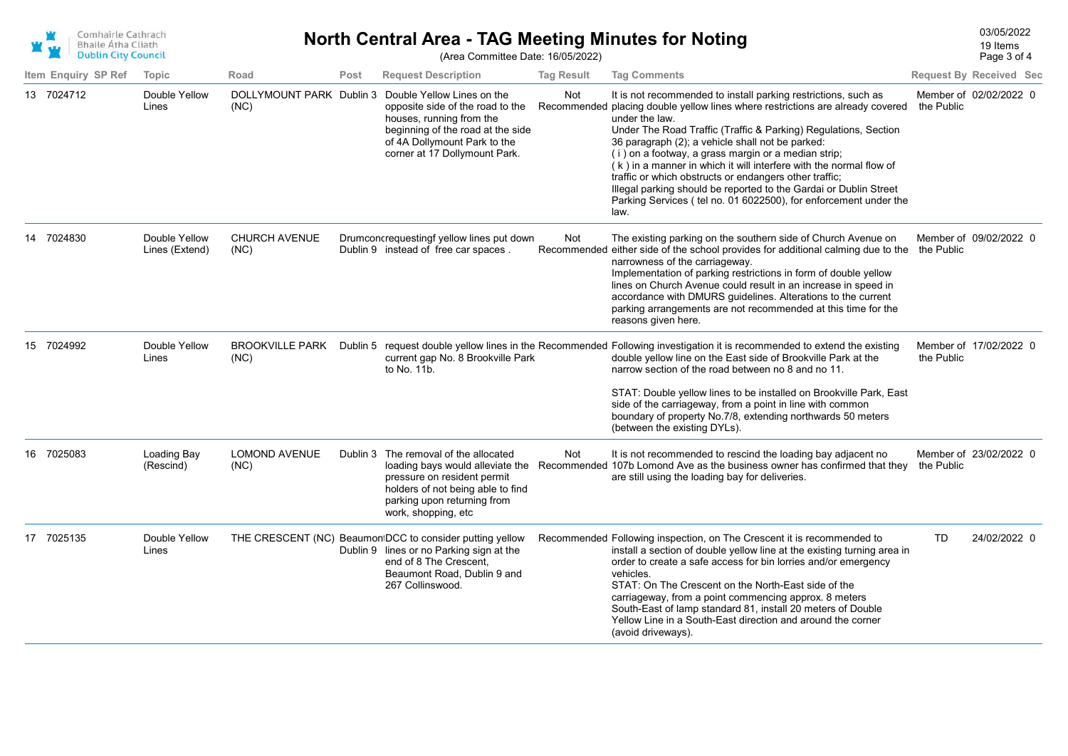

## **North Central Area - TAG Meeting Minutes for Noting North Central Area - TAG Meeting Minutes for Noting**

(Area Committee Date: 16/05/2022)

| Item Enquiry SP Ref | <b>Topic</b>                    | Road                             | Post     | <b>Request Description</b>                                                                                                                                                                       | <b>Tag Result</b> | <b>Tag Comments</b>                                                                                                                                                                                                                                                                                                                                                                                                                                                                                                                                                                                                               | <b>Request By Received Sec</b>       |
|---------------------|---------------------------------|----------------------------------|----------|--------------------------------------------------------------------------------------------------------------------------------------------------------------------------------------------------|-------------------|-----------------------------------------------------------------------------------------------------------------------------------------------------------------------------------------------------------------------------------------------------------------------------------------------------------------------------------------------------------------------------------------------------------------------------------------------------------------------------------------------------------------------------------------------------------------------------------------------------------------------------------|--------------------------------------|
| 13 7024712          | Double Yellow<br>Lines          | DOLLYMOUNT PARK Dublin 3<br>(NC) |          | Double Yellow Lines on the<br>opposite side of the road to the<br>houses, running from the<br>beginning of the road at the side<br>of 4A Dollymount Park to the<br>corner at 17 Dollymount Park. | Not               | It is not recommended to install parking restrictions, such as<br>Recommended placing double yellow lines where restrictions are already covered<br>under the law.<br>Under The Road Traffic (Traffic & Parking) Regulations, Section<br>36 paragraph (2); a vehicle shall not be parked:<br>(i) on a footway, a grass margin or a median strip;<br>(k) in a manner in which it will interfere with the normal flow of<br>traffic or which obstructs or endangers other traffic;<br>Illegal parking should be reported to the Gardai or Dublin Street<br>Parking Services (tel no. 01 6022500), for enforcement under the<br>law. | Member of 02/02/2022 0<br>the Public |
| 14 7024830          | Double Yellow<br>Lines (Extend) | <b>CHURCH AVENUE</b><br>(NC)     |          | Drumconcrequestingf yellow lines put down<br>Dublin 9 instead of free car spaces.                                                                                                                | Not               | The existing parking on the southern side of Church Avenue on<br>Recommended either side of the school provides for additional calming due to the the Public<br>narrowness of the carriageway.<br>Implementation of parking restrictions in form of double yellow<br>lines on Church Avenue could result in an increase in speed in<br>accordance with DMURS guidelines. Alterations to the current<br>parking arrangements are not recommended at this time for the<br>reasons given here.                                                                                                                                       | Member of 09/02/2022 0               |
| 15 7024992          | Double Yellow<br>Lines          | <b>BROOKVILLE PARK</b><br>(NC)   | Dublin 5 | current gap No. 8 Brookville Park<br>to No. 11b.                                                                                                                                                 |                   | request double yellow lines in the Recommended Following investigation it is recommended to extend the existing<br>double yellow line on the East side of Brookville Park at the<br>narrow section of the road between no 8 and no 11.<br>STAT: Double yellow lines to be installed on Brookville Park, East<br>side of the carriageway, from a point in line with common<br>boundary of property No.7/8, extending northwards 50 meters<br>(between the existing DYLs).                                                                                                                                                          | Member of 17/02/2022 0<br>the Public |
| 16 7025083          | Loading Bay<br>(Rescind)        | <b>LOMOND AVENUE</b><br>(NC)     |          | Dublin 3 The removal of the allocated<br>pressure on resident permit<br>holders of not being able to find<br>parking upon returning from<br>work, shopping, etc                                  | Not               | It is not recommended to rescind the loading bay adjacent no<br>loading bays would alleviate the Recommended 107b Lomond Ave as the business owner has confirmed that they<br>are still using the loading bay for deliveries.                                                                                                                                                                                                                                                                                                                                                                                                     | Member of 23/02/2022 0<br>the Public |
| 17 7025135          | Double Yellow<br>Lines          |                                  |          | THE CRESCENT (NC) Beaumon DCC to consider putting yellow<br>Dublin 9 lines or no Parking sign at the<br>end of 8 The Crescent.<br>Beaumont Road, Dublin 9 and<br>267 Collinswood.                |                   | Recommended Following inspection, on The Crescent it is recommended to<br>install a section of double yellow line at the existing turning area in<br>order to create a safe access for bin lorries and/or emergency<br>vehicles.<br>STAT: On The Crescent on the North-East side of the<br>carriageway, from a point commencing approx. 8 meters<br>South-East of lamp standard 81, install 20 meters of Double<br>Yellow Line in a South-East direction and around the corner<br>(avoid driveways).                                                                                                                              | 24/02/2022 0<br><b>TD</b>            |

Page 3 of 4 19 Items